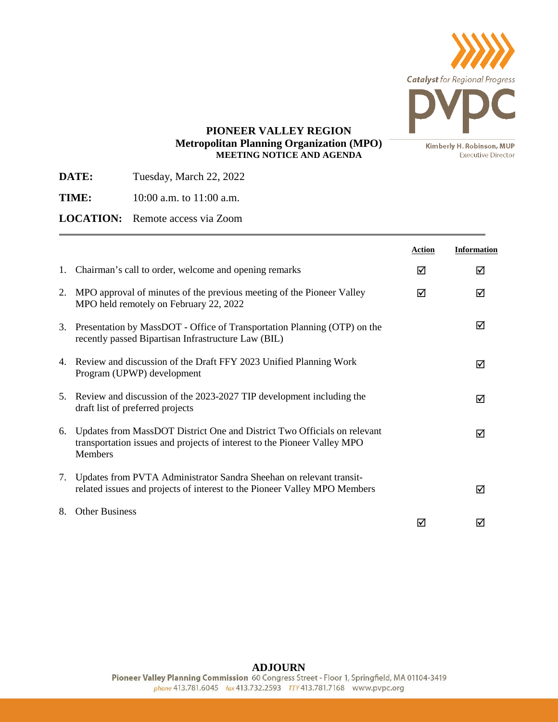

**Executive Director** 

## **PIONEER VALLEY REGION Metropolitan Planning Organization (MPO) MEETING NOTICE AND AGENDA**

**DATE:** Tuesday, March 22, 2022

**TIME:** 10:00 a.m. to 11:00 a.m.

**LOCATION:** Remote access via Zoom

|    |                                                                                                                                                                        | <b>Action</b> | <b>Information</b> |
|----|------------------------------------------------------------------------------------------------------------------------------------------------------------------------|---------------|--------------------|
| 1. | Chairman's call to order, welcome and opening remarks                                                                                                                  | ☑             | ☑                  |
| 2. | MPO approval of minutes of the previous meeting of the Pioneer Valley<br>MPO held remotely on February 22, 2022                                                        | ⊠             | ⊠                  |
| 3. | Presentation by MassDOT - Office of Transportation Planning (OTP) on the<br>recently passed Bipartisan Infrastructure Law (BIL)                                        |               | ⊠                  |
|    | 4. Review and discussion of the Draft FFY 2023 Unified Planning Work<br>Program (UPWP) development                                                                     |               | ⊠                  |
|    | 5. Review and discussion of the 2023-2027 TIP development including the<br>draft list of preferred projects                                                            |               | ⊠                  |
| 6. | Updates from MassDOT District One and District Two Officials on relevant<br>transportation issues and projects of interest to the Pioneer Valley MPO<br><b>Members</b> |               | ☑                  |
| 7. | Updates from PVTA Administrator Sandra Sheehan on relevant transit-<br>related issues and projects of interest to the Pioneer Valley MPO Members                       |               | ⊠                  |
| 8. | <b>Other Business</b>                                                                                                                                                  | ⋈             | M                  |